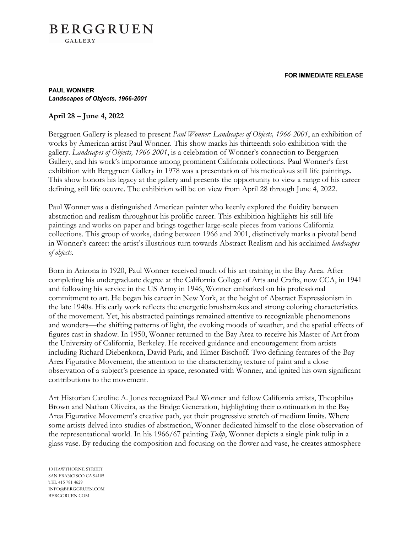#### **FOR IMMEDIATE RELEASE**

## **BERGGRUEN GALLERY**

#### **PAUL WONNER** *Landscapes of Objects, 1966-2001*

### **April 28 – June 4, 2022**

Berggruen Gallery is pleased to present *Paul Wonner: Landscapes of Objects, 1966-2001*, an exhibition of works by American artist Paul Wonner. This show marks his thirteenth solo exhibition with the gallery. *Landscapes of Objects, 1966-2001*, is a celebration of Wonner's connection to Berggruen Gallery, and his work's importance among prominent California collections. Paul Wonner's first exhibition with Berggruen Gallery in 1978 was a presentation of his meticulous still life paintings. This show honors his legacy at the gallery and presents the opportunity to view a range of his career defining, still life oeuvre. The exhibition will be on view from April 28 through June 4, 2022.

Paul Wonner was a distinguished American painter who keenly explored the fluidity between abstraction and realism throughout his prolific career. This exhibition highlights his still life paintings and works on paper and brings together large-scale pieces from various California collections. This group of works, dating between 1966 and 2001, distinctively marks a pivotal bend in Wonner's career: the artist's illustrious turn towards Abstract Realism and his acclaimed *landscapes of objects*.

Born in Arizona in 1920, Paul Wonner received much of his art training in the Bay Area. After completing his undergraduate degree at the California College of Arts and Crafts, now CCA, in 1941 and following his service in the US Army in 1946, Wonner embarked on his professional commitment to art. He began his career in New York, at the height of Abstract Expressionism in the late 1940s. His early work reflects the energetic brushstrokes and strong coloring characteristics of the movement. Yet, his abstracted paintings remained attentive to recognizable phenomenons and wonders—the shifting patterns of light, the evoking moods of weather, and the spatial effects of figures cast in shadow. In 1950, Wonner returned to the Bay Area to receive his Master of Art from the University of California, Berkeley. He received guidance and encouragement from artists including Richard Diebenkorn, David Park, and Elmer Bischoff. Two defining features of the Bay Area Figurative Movement, the attention to the characterizing texture of paint and a close observation of a subject's presence in space, resonated with Wonner, and ignited his own significant contributions to the movement.

Art Historian Caroline A. Jones recognized Paul Wonner and fellow California artists, Theophilus Brown and Nathan Oliveira, as the Bridge Generation, highlighting their continuation in the Bay Area Figurative Movement's creative path, yet their progressive stretch of medium limits. Where some artists delved into studies of abstraction, Wonner dedicated himself to the close observation of the representational world. In his 1966/67 painting *Tulip*, Wonner depicts a single pink tulip in a glass vase. By reducing the composition and focusing on the flower and vase, he creates atmosphere

10 HAWTHORNE STREET SAN FRANCISCO CA 94105 TEL 415 781 4629 INFO@BERGGRUEN.COM BERGGRUEN.COM